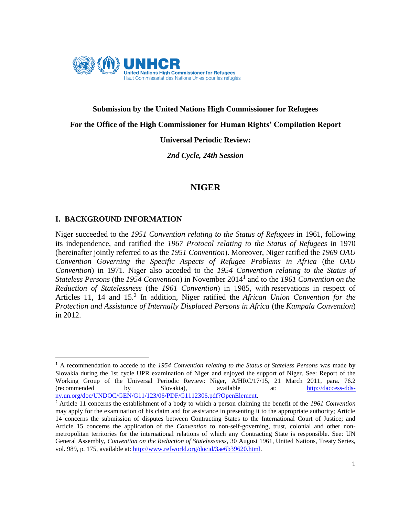

# **Submission by the United Nations High Commissioner for Refugees For the Office of the High Commissioner for Human Rights' Compilation Report**

## **Universal Periodic Review:**

*2nd Cycle, 24th Session*

## **NIGER**

## **I. BACKGROUND INFORMATION**

 $\overline{a}$ 

Niger succeeded to the *1951 Convention relating to the Status of Refugees* in 1961, following its independence, and ratified the *1967 Protocol relating to the Status of Refugees* in 1970 (hereinafter jointly referred to as the *1951 Convention*). Moreover, Niger ratified the *1969 OAU Convention Governing the Specific Aspects of Refugee Problems in Africa* (the *OAU Convention*) in 1971. Niger also acceded to the *1954 Convention relating to the Status of Stateless Persons* (the *1954 Convention*) in November 2014<sup>1</sup> and to the *1961 Convention on the Reduction of Statelessness* (the *1961 Convention*) in 1985, with reservations in respect of Articles 11, 14 and 15.<sup>2</sup> In addition, Niger ratified the *African Union Convention for the Protection and Assistance of Internally Displaced Persons in Africa* (the *Kampala Convention*) in 2012.

<sup>1</sup> A recommendation to accede to the *1954 Convention relating to the Status of Stateless Persons* was made by Slovakia during the 1st cycle UPR examination of Niger and enjoyed the support of Niger. See: Report of the Working Group of the Universal Periodic Review: Niger, A/HRC/17/15, 21 March 2011, para. 76.2 (recommended by Slovakia), available at: [http://daccess-dds](http://daccess-dds-ny.un.org/doc/UNDOC/GEN/G11/123/06/PDF/G1112306.pdf?OpenElement)[ny.un.org/doc/UNDOC/GEN/G11/123/06/PDF/G1112306.pdf?OpenElement.](http://daccess-dds-ny.un.org/doc/UNDOC/GEN/G11/123/06/PDF/G1112306.pdf?OpenElement)

<sup>2</sup> Article 11 concerns the establishment of a body to which a person claiming the benefit of the *1961 Convention*  may apply for the examination of his claim and for assistance in presenting it to the appropriate authority; Article 14 concerns the submission of disputes between Contracting States to the International Court of Justice; and Article 15 concerns the application of the *Convention* to non-self-governing, trust, colonial and other nonmetropolitan territories for the international relations of which any Contracting State is responsible. See: UN General Assembly, *Convention on the Reduction of Statelessness*, 30 August 1961, United Nations, Treaty Series, vol. 989, p. 175, available at:<http://www.refworld.org/docid/3ae6b39620.html>.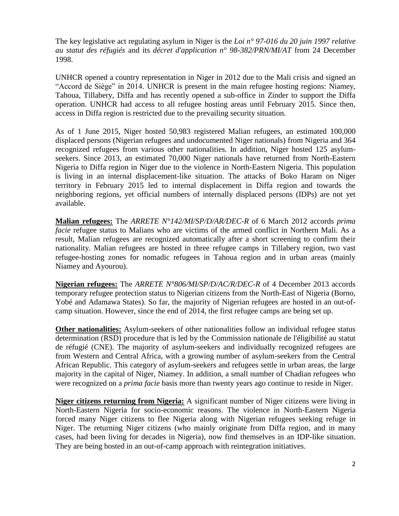The key legislative act regulating asylum in Niger is the *Loi n° 97-016 du 20 juin 1997 relative au statut des réfugiés* and its *décret d'application n° 98-382/PRN/MI/AT* from 24 December 1998.

UNHCR opened a country representation in Niger in 2012 due to the Mali crisis and signed an "Accord de Siège" in 2014. UNHCR is present in the main refugee hosting regions: Niamey, Tahoua, Tillabery, Diffa and has recently opened a sub-office in Zinder to support the Diffa operation. UNHCR had access to all refugee hosting areas until February 2015. Since then, access in Diffa region is restricted due to the prevailing security situation.

As of 1 June 2015, Niger hosted 50,983 registered Malian refugees, an estimated 100,000 displaced persons (Nigerian refugees and undocumented Niger nationals) from Nigeria and 364 recognized refugees from various other nationalities. In addition, Niger hosted 125 asylumseekers. Since 2013, an estimated 70,000 Niger nationals have returned from North-Eastern Nigeria to Diffa region in Niger due to the violence in North-Eastern Nigeria. This population is living in an internal displacement-like situation. The attacks of Boko Haram on Niger territory in February 2015 led to internal displacement in Diffa region and towards the neighboring regions, yet official numbers of internally displaced persons (IDPs) are not yet available.

**Malian refugees:** The *ARRETE N°142/MI/SP/D/AR/DEC-R* of 6 March 2012 accords *prima facie* refugee status to Malians who are victims of the armed conflict in Northern Mali. As a result, Malian refugees are recognized automatically after a short screening to confirm their nationality. Malian refugees are hosted in three refugee camps in Tillabery region, two vast refugee-hosting zones for nomadic refugees in Tahoua region and in urban areas (mainly Niamey and Ayourou).

**Nigerian refugees:** The *ARRETE N°806/MI/SP/D/AC/R/DEC-R* of 4 December 2013 accords temporary refugee protection status to Nigerian citizens from the North-East of Nigeria (Borno, Yobé and Adamawa States). So far, the majority of Nigerian refugees are hosted in an out-ofcamp situation. However, since the end of 2014, the first refugee camps are being set up.

**Other nationalities:** Asylum-seekers of other nationalities follow an individual refugee status determination (RSD) procedure that is led by the Commission nationale de l'éligibilité au statut de réfugié (CNE). The majority of asylum-seekers and individually recognized refugees are from Western and Central Africa, with a growing number of asylum-seekers from the Central African Republic. This category of asylum-seekers and refugees settle in urban areas, the large majority in the capital of Niger, Niamey. In addition, a small number of Chadian refugees who were recognized on a *prima facie* basis more than twenty years ago continue to reside in Niger.

**Niger citizens returning from Nigeria:** A significant number of Niger citizens were living in North-Eastern Nigeria for socio-economic reasons. The violence in North-Eastern Nigeria forced many Niger citizens to flee Nigeria along with Nigerian refugees seeking refuge in Niger. The returning Niger citizens (who mainly originate from Diffa region, and in many cases, had been living for decades in Nigeria), now find themselves in an IDP-like situation. They are being hosted in an out-of-camp approach with reintegration initiatives.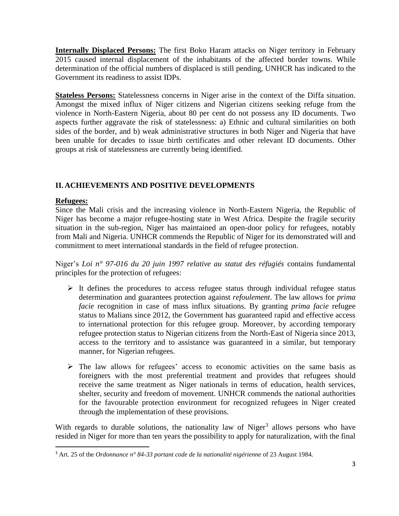**Internally Displaced Persons:** The first Boko Haram attacks on Niger territory in February 2015 caused internal displacement of the inhabitants of the affected border towns. While determination of the official numbers of displaced is still pending, UNHCR has indicated to the Government its readiness to assist IDPs.

**Stateless Persons:** Statelessness concerns in Niger arise in the context of the Diffa situation. Amongst the mixed influx of Niger citizens and Nigerian citizens seeking refuge from the violence in North-Eastern Nigeria, about 80 per cent do not possess any ID documents. Two aspects further aggravate the risk of statelessness: a) Ethnic and cultural similarities on both sides of the border, and b) weak administrative structures in both Niger and Nigeria that have been unable for decades to issue birth certificates and other relevant ID documents. Other groups at risk of statelessness are currently being identified.

## **II. ACHIEVEMENTS AND POSITIVE DEVELOPMENTS**

#### **Refugees:**

 $\overline{a}$ 

Since the Mali crisis and the increasing violence in North-Eastern Nigeria, the Republic of Niger has become a major refugee-hosting state in West Africa. Despite the fragile security situation in the sub-region, Niger has maintained an open-door policy for refugees, notably from Mali and Nigeria. UNHCR commends the Republic of Niger for its demonstrated will and commitment to meet international standards in the field of refugee protection.

Niger's *Loi n° 97-016 du 20 juin 1997 relative au statut des réfugiés* contains fundamental principles for the protection of refugees:

- $\triangleright$  It defines the procedures to access refugee status through individual refugee status determination and guarantees protection against *refoulement*. The law allows for *prima facie* recognition in case of mass influx situations. By granting *prima facie* refugee status to Malians since 2012, the Government has guaranteed rapid and effective access to international protection for this refugee group. Moreover, by according temporary refugee protection status to Nigerian citizens from the North-East of Nigeria since 2013, access to the territory and to assistance was guaranteed in a similar, but temporary manner, for Nigerian refugees.
- $\triangleright$  The law allows for refugees' access to economic activities on the same basis as foreigners with the most preferential treatment and provides that refugees should receive the same treatment as Niger nationals in terms of education, health services, shelter, security and freedom of movement. UNHCR commends the national authorities for the favourable protection environment for recognized refugees in Niger created through the implementation of these provisions.

With regards to durable solutions, the nationality law of Niger<sup>3</sup> allows persons who have resided in Niger for more than ten years the possibility to apply for naturalization, with the final

<sup>3</sup> Art. 25 of the *Ordonnance n° 84-33 portant code de la nationalité nigérienne* of 23 August 1984.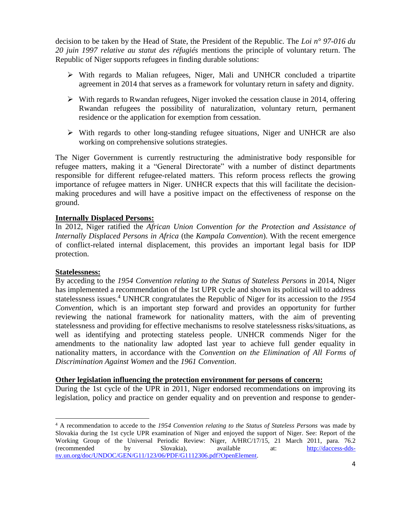decision to be taken by the Head of State, the President of the Republic. The *Loi n° 97-016 du 20 juin 1997 relative au statut des réfugiés* mentions the principle of voluntary return. The Republic of Niger supports refugees in finding durable solutions:

- With regards to Malian refugees, Niger, Mali and UNHCR concluded a tripartite agreement in 2014 that serves as a framework for voluntary return in safety and dignity.
- $\triangleright$  With regards to Rwandan refugees, Niger invoked the cessation clause in 2014, offering Rwandan refugees the possibility of naturalization, voluntary return, permanent residence or the application for exemption from cessation.
- $\triangleright$  With regards to other long-standing refugee situations, Niger and UNHCR are also working on comprehensive solutions strategies.

The Niger Government is currently restructuring the administrative body responsible for refugee matters, making it a "General Directorate" with a number of distinct departments responsible for different refugee-related matters. This reform process reflects the growing importance of refugee matters in Niger. UNHCR expects that this will facilitate the decisionmaking procedures and will have a positive impact on the effectiveness of response on the ground.

#### **Internally Displaced Persons:**

In 2012, Niger ratified the *African Union Convention for the Protection and Assistance of Internally Displaced Persons in Africa* (the *Kampala Convention*). With the recent emergence of conflict-related internal displacement, this provides an important legal basis for IDP protection.

#### **Statelessness:**

 $\overline{a}$ 

By acceding to the *1954 Convention relating to the Status of Stateless Persons* in 2014, Niger has implemented a recommendation of the 1st UPR cycle and shown its political will to address statelessness issues.<sup>4</sup> UNHCR congratulates the Republic of Niger for its accession to the *1954 Convention*, which is an important step forward and provides an opportunity for further reviewing the national framework for nationality matters, with the aim of preventing statelessness and providing for effective mechanisms to resolve statelessness risks/situations, as well as identifying and protecting stateless people. UNHCR commends Niger for the amendments to the nationality law adopted last year to achieve full gender equality in nationality matters, in accordance with the *Convention on the Elimination of All Forms of Discrimination Against Women* and the *1961 Convention*.

#### **Other legislation influencing the protection environment for persons of concern:**

During the 1st cycle of the UPR in 2011, Niger endorsed recommendations on improving its legislation, policy and practice on gender equality and on prevention and response to gender-

<sup>4</sup> A recommendation to accede to the *1954 Convention relating to the Status of Stateless Persons* was made by Slovakia during the 1st cycle UPR examination of Niger and enjoyed the support of Niger. See: Report of the Working Group of the Universal Periodic Review: Niger, A/HRC/17/15, 21 March 2011, para. 76.2 (recommended by Slovakia), available at: [http://daccess-dds](http://daccess-dds-ny.un.org/doc/UNDOC/GEN/G11/123/06/PDF/G1112306.pdf?OpenElement)[ny.un.org/doc/UNDOC/GEN/G11/123/06/PDF/G1112306.pdf?OpenElement.](http://daccess-dds-ny.un.org/doc/UNDOC/GEN/G11/123/06/PDF/G1112306.pdf?OpenElement)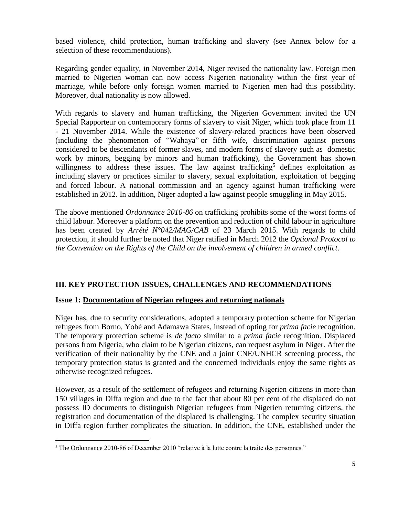based violence, child protection, human trafficking and slavery (see Annex below for a selection of these recommendations).

Regarding gender equality, in November 2014, Niger revised the nationality law. Foreign men married to Nigerien woman can now access Nigerien nationality within the first year of marriage, while before only foreign women married to Nigerien men had this possibility. Moreover, dual nationality is now allowed.

With regards to slavery and human trafficking, the Nigerien Government invited the UN Special Rapporteur on contemporary forms of slavery to visit Niger, which took place from 11 - 21 November 2014. While the existence of slavery-related practices have been observed (including the phenomenon of "Wahaya" or fifth wife, discrimination against persons considered to be descendants of former slaves, and modern forms of slavery such as domestic work by minors, begging by minors and human trafficking), the Government has shown willingness to address these issues. The law against trafficking<sup>5</sup> defines exploitation as including slavery or practices similar to slavery, sexual exploitation, exploitation of begging and forced labour. A national commission and an agency against human trafficking were established in 2012. In addition, Niger adopted a law against people smuggling in May 2015.

The above mentioned *Ordonnance 2010-86* on trafficking prohibits some of the worst forms of child labour. Moreover a platform on the prevention and reduction of child labour in agriculture has been created by *Arrêté N°042/MAG/CAB* of 23 March 2015. With regards to child protection, it should further be noted that Niger ratified in March 2012 the *Optional Protocol to the Convention on the Rights of the Child on the involvement of children in armed conflict*.

#### **III. KEY PROTECTION ISSUES, CHALLENGES AND RECOMMENDATIONS**

#### **Issue 1: Documentation of Nigerian refugees and returning nationals**

Niger has, due to security considerations, adopted a temporary protection scheme for Nigerian refugees from Borno, Yobé and Adamawa States, instead of opting for *prima facie* recognition. The temporary protection scheme is *de facto* similar to a *prima facie* recognition. Displaced persons from Nigeria, who claim to be Nigerian citizens, can request asylum in Niger. After the verification of their nationality by the CNE and a joint CNE/UNHCR screening process, the temporary protection status is granted and the concerned individuals enjoy the same rights as otherwise recognized refugees.

However, as a result of the settlement of refugees and returning Nigerien citizens in more than 150 villages in Diffa region and due to the fact that about 80 per cent of the displaced do not possess ID documents to distinguish Nigerian refugees from Nigerien returning citizens, the registration and documentation of the displaced is challenging. The complex security situation in Diffa region further complicates the situation. In addition, the CNE, established under the

 $\overline{a}$ 

<sup>5</sup> The Ordonnance 2010-86 of December 2010 "relative à la lutte contre la traite des personnes."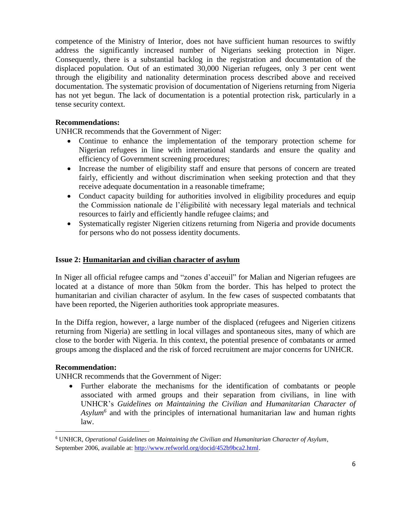competence of the Ministry of Interior, does not have sufficient human resources to swiftly address the significantly increased number of Nigerians seeking protection in Niger. Consequently, there is a substantial backlog in the registration and documentation of the displaced population. Out of an estimated 30,000 Nigerian refugees, only 3 per cent went through the eligibility and nationality determination process described above and received documentation. The systematic provision of documentation of Nigeriens returning from Nigeria has not yet begun. The lack of documentation is a potential protection risk, particularly in a tense security context.

#### **Recommendations:**

UNHCR recommends that the Government of Niger:

- Continue to enhance the implementation of the temporary protection scheme for Nigerian refugees in line with international standards and ensure the quality and efficiency of Government screening procedures;
- Increase the number of eligibility staff and ensure that persons of concern are treated fairly, efficiently and without discrimination when seeking protection and that they receive adequate documentation in a reasonable timeframe;
- Conduct capacity building for authorities involved in eligibility procedures and equip the Commission nationale de l'éligibilité with necessary legal materials and technical resources to fairly and efficiently handle refugee claims; and
- Systematically register Nigerien citizens returning from Nigeria and provide documents for persons who do not possess identity documents.

#### **Issue 2: Humanitarian and civilian character of asylum**

In Niger all official refugee camps and "zones d'acceuil" for Malian and Nigerian refugees are located at a distance of more than 50km from the border. This has helped to protect the humanitarian and civilian character of asylum. In the few cases of suspected combatants that have been reported, the Nigerien authorities took appropriate measures.

In the Diffa region, however, a large number of the displaced (refugees and Nigerien citizens returning from Nigeria) are settling in local villages and spontaneous sites, many of which are close to the border with Nigeria. In this context, the potential presence of combatants or armed groups among the displaced and the risk of forced recruitment are major concerns for UNHCR.

#### **Recommendation:**

 $\overline{a}$ 

UNHCR recommends that the Government of Niger:

 Further elaborate the mechanisms for the identification of combatants or people associated with armed groups and their separation from civilians, in line with UNHCR's *Guidelines on Maintaining the Civilian and Humanitarian Character of Asylum<sup>6</sup>* and with the principles of international humanitarian law and human rights law.

<sup>6</sup> UNHCR, *Operational Guidelines on Maintaining the Civilian and Humanitarian Character of Asylum*, September 2006, available at[: http://www.refworld.org/docid/452b9bca2.html.](http://www.refworld.org/docid/452b9bca2.html)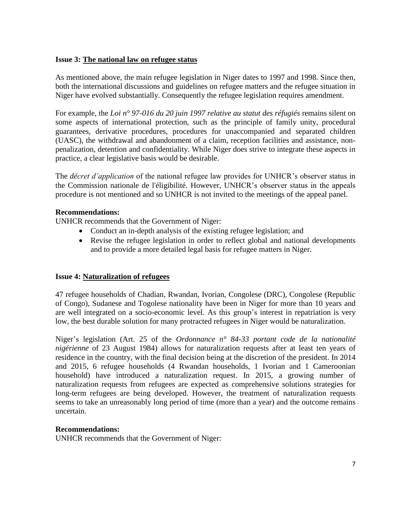## **Issue 3: The national law on refugee status**

As mentioned above, the main refugee legislation in Niger dates to 1997 and 1998. Since then, both the international discussions and guidelines on refugee matters and the refugee situation in Niger have evolved substantially. Consequently the refugee legislation requires amendment.

For example, the *Loi n° 97-016 du 20 juin 1997 relative au statut des réfugiés* remains silent on some aspects of international protection, such as the principle of family unity, procedural guarantees, derivative procedures, procedures for unaccompanied and separated children (UASC), the withdrawal and abandonment of a claim, reception facilities and assistance, nonpenalization, detention and confidentiality. While Niger does strive to integrate these aspects in practice, a clear legislative basis would be desirable.

The *décret d'application* of the national refugee law provides for UNHCR's observer status in the Commission nationale de l'éligibilité. However, UNHCR's observer status in the appeals procedure is not mentioned and so UNHCR is not invited to the meetings of the appeal panel.

## **Recommendations:**

UNHCR recommends that the Government of Niger:

- Conduct an in-depth analysis of the existing refugee legislation; and
- Revise the refugee legislation in order to reflect global and national developments and to provide a more detailed legal basis for refugee matters in Niger.

## **Issue 4: Naturalization of refugees**

47 refugee households of Chadian, Rwandan, Ivorian, Congolese (DRC), Congolese (Republic of Congo), Sudanese and Togolese nationality have been in Niger for more than 10 years and are well integrated on a socio-economic level. As this group's interest in repatriation is very low, the best durable solution for many protracted refugees in Niger would be naturalization.

Niger's legislation (Art. 25 of the *Ordonnance n° 84-33 portant code de la nationalité nigérienne* of 23 August 1984) allows for naturalization requests after at least ten years of residence in the country, with the final decision being at the discretion of the president. In 2014 and 2015, 6 refugee households (4 Rwandan households, 1 Ivorian and 1 Cameroonian household) have introduced a naturalization request. In 2015, a growing number of naturalization requests from refugees are expected as comprehensive solutions strategies for long-term refugees are being developed. However, the treatment of naturalization requests seems to take an unreasonably long period of time (more than a year) and the outcome remains uncertain.

#### **Recommendations:**

UNHCR recommends that the Government of Niger: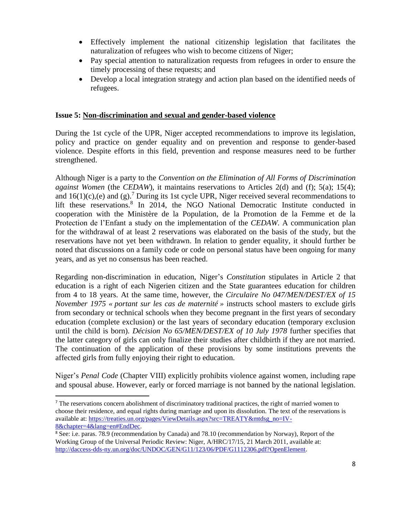- Effectively implement the national citizenship legislation that facilitates the naturalization of refugees who wish to become citizens of Niger;
- Pay special attention to naturalization requests from refugees in order to ensure the timely processing of these requests; and
- Develop a local integration strategy and action plan based on the identified needs of refugees.

#### **Issue 5: Non-discrimination and sexual and gender-based violence**

During the 1st cycle of the UPR, Niger accepted recommendations to improve its legislation, policy and practice on gender equality and on prevention and response to gender-based violence. Despite efforts in this field, prevention and response measures need to be further strengthened.

Although Niger is a party to the *Convention on the Elimination of All Forms of Discrimination against Women* (the *CEDAW*), it maintains reservations to Articles 2(d) and (f); 5(a); 15(4); and  $16(1)(c)$ ,(e) and (g).<sup>7</sup> During its 1st cycle UPR, Niger received several recommendations to lift these reservations.<sup>8</sup> In 2014, the NGO National Democratic Institute conducted in cooperation with the Ministère de la Population, de la Promotion de la Femme et de la Protection de l'Enfant a study on the implementation of the *CEDAW*. A communication plan for the withdrawal of at least 2 reservations was elaborated on the basis of the study, but the reservations have not yet been withdrawn. In relation to gender equality, it should further be noted that discussions on a family code or code on personal status have been ongoing for many years, and as yet no consensus has been reached.

Regarding non-discrimination in education, Niger's *Constitution* stipulates in Article 2 that education is a right of each Nigerien citizen and the State guarantees education for children from 4 to 18 years. At the same time, however, the *Circulaire No 047/MEN/DEST/EX of 15 November 1975 « portant sur les cas de maternité »* instructs school masters to exclude girls from secondary or technical schools when they become pregnant in the first years of secondary education (complete exclusion) or the last years of secondary education (temporary exclusion until the child is born). *Décision No 65/MEN/DEST/EX of 10 July 1978* further specifies that the latter category of girls can only finalize their studies after childbirth if they are not married. The continuation of the application of these provisions by some institutions prevents the affected girls from fully enjoying their right to education.

Niger's *Penal Code* (Chapter VIII) explicitly prohibits violence against women, including rape and spousal abuse. However, early or forced marriage is not banned by the national legislation.

 $\overline{a}$ 

<sup>&</sup>lt;sup>7</sup> The reservations concern abolishment of discriminatory traditional practices, the right of married women to choose their residence, and equal rights during marriage and upon its dissolution. The text of the reservations is available at: [https://treaties.un.org/pages/ViewDetails.aspx?src=TREATY&mtdsg\\_no=IV-](https://treaties.un.org/pages/ViewDetails.aspx?src=TREATY&mtdsg_no=IV-8&chapter=4&lang=en#EndDec)[8&chapter=4&lang=en#EndDec.](https://treaties.un.org/pages/ViewDetails.aspx?src=TREATY&mtdsg_no=IV-8&chapter=4&lang=en#EndDec)

<sup>8</sup> See: i.e. paras. 78.9 (recommendation by Canada) and 78.10 (recommendation by Norway), Report of the Working Group of the Universal Periodic Review: Niger, A/HRC/17/15, 21 March 2011, available at: [http://daccess-dds-ny.un.org/doc/UNDOC/GEN/G11/123/06/PDF/G1112306.pdf?OpenElement.](http://daccess-dds-ny.un.org/doc/UNDOC/GEN/G11/123/06/PDF/G1112306.pdf?OpenElement)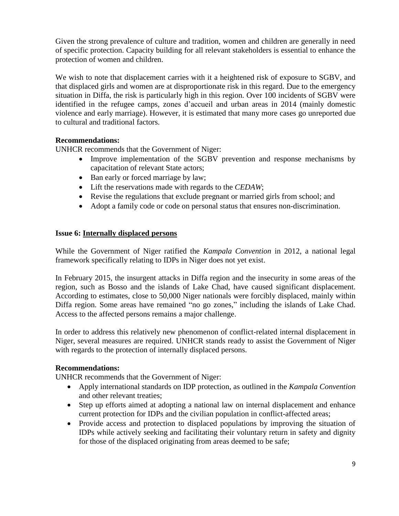Given the strong prevalence of culture and tradition, women and children are generally in need of specific protection. Capacity building for all relevant stakeholders is essential to enhance the protection of women and children.

We wish to note that displacement carries with it a heightened risk of exposure to SGBV, and that displaced girls and women are at disproportionate risk in this regard. Due to the emergency situation in Diffa, the risk is particularly high in this region. Over 100 incidents of SGBV were identified in the refugee camps, zones d'accueil and urban areas in 2014 (mainly domestic violence and early marriage). However, it is estimated that many more cases go unreported due to cultural and traditional factors.

## **Recommendations:**

UNHCR recommends that the Government of Niger:

- Improve implementation of the SGBV prevention and response mechanisms by capacitation of relevant State actors;
- Ban early or forced marriage by law;
- Lift the reservations made with regards to the *CEDAW*;
- Revise the regulations that exclude pregnant or married girls from school; and
- Adopt a family code or code on personal status that ensures non-discrimination.

#### **Issue 6: Internally displaced persons**

While the Government of Niger ratified the *Kampala Convention* in 2012, a national legal framework specifically relating to IDPs in Niger does not yet exist.

In February 2015, the insurgent attacks in Diffa region and the insecurity in some areas of the region, such as Bosso and the islands of Lake Chad, have caused significant displacement. According to estimates, close to 50,000 Niger nationals were forcibly displaced, mainly within Diffa region. Some areas have remained "no go zones," including the islands of Lake Chad. Access to the affected persons remains a major challenge.

In order to address this relatively new phenomenon of conflict-related internal displacement in Niger, several measures are required. UNHCR stands ready to assist the Government of Niger with regards to the protection of internally displaced persons.

#### **Recommendations:**

UNHCR recommends that the Government of Niger:

- Apply international standards on IDP protection, as outlined in the *Kampala Convention* and other relevant treaties;
- Step up efforts aimed at adopting a national law on internal displacement and enhance current protection for IDPs and the civilian population in conflict-affected areas;
- Provide access and protection to displaced populations by improving the situation of IDPs while actively seeking and facilitating their voluntary return in safety and dignity for those of the displaced originating from areas deemed to be safe;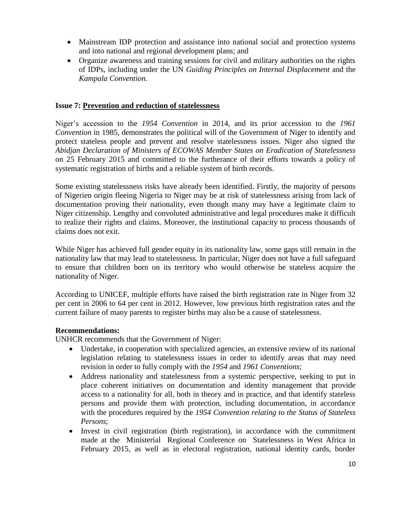- Mainstream IDP protection and assistance into national social and protection systems and into national and regional development plans; and
- Organize awareness and training sessions for civil and military authorities on the rights of IDPs, including under the UN *Guiding Principles on Internal Displacement* and the *Kampala Convention*.

#### **Issue 7: Prevention and reduction of statelessness**

Niger's accession to the *1954 Convention* in 2014, and its prior accession to the *1961 Convention* in 1985, demonstrates the political will of the Government of Niger to identify and protect stateless people and prevent and resolve statelessness issues. Niger also signed the *Abidjan Declaration of Ministers of ECOWAS Member States on Eradication of Statelessness* on 25 February 2015 and committed to the furtherance of their efforts towards a policy of systematic registration of births and a reliable system of birth records.

Some existing statelessness risks have already been identified. Firstly, the majority of persons of Nigerien origin fleeing Nigeria to Niger may be at risk of statelessness arising from lack of documentation proving their nationality, even though many may have a legitimate claim to Niger citizenship. Lengthy and convoluted administrative and legal procedures make it difficult to realize their rights and claims. Moreover, the institutional capacity to process thousands of claims does not exit.

While Niger has achieved full gender equity in its nationality law, some gaps still remain in the nationality law that may lead to statelessness. In particular, Niger does not have a full safeguard to ensure that children born on its territory who would otherwise be stateless acquire the nationality of Niger.

According to UNICEF, multiple efforts have raised the birth registration rate in Niger from 32 per cent in 2006 to 64 per cent in 2012. However, low previous birth registration rates and the current failure of many parents to register births may also be a cause of statelessness.

#### **Recommendations:**

UNHCR recommends that the Government of Niger:

- Undertake, in cooperation with specialized agencies, an extensive review of its national legislation relating to statelessness issues in order to identify areas that may need revision in order to fully comply with the *1954* and *1961 Conventions*;
- Address nationality and statelessness from a systemic perspective, seeking to put in place coherent initiatives on documentation and identity management that provide access to a nationality for all, both in theory and in practice, and that identify stateless persons and provide them with protection, including documentation, in accordance with the procedures required by the *1954 Convention relating to the Status of Stateless Persons*;
- Invest in civil registration (birth registration), in accordance with the commitment made at the Ministerial Regional Conference on Statelessness in West Africa in February 2015, as well as in electoral registration, national identity cards, border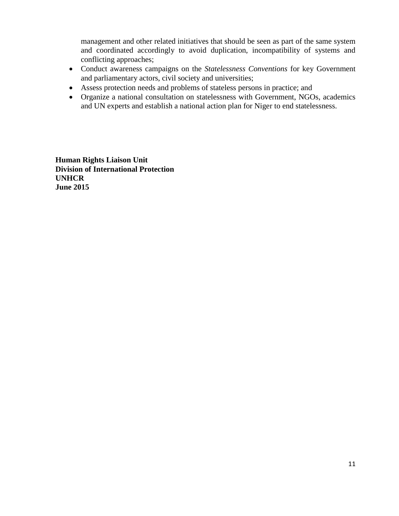management and other related initiatives that should be seen as part of the same system and coordinated accordingly to avoid duplication, incompatibility of systems and conflicting approaches;

- Conduct awareness campaigns on the *Statelessness Conventions* for key Government and parliamentary actors, civil society and universities;
- Assess protection needs and problems of stateless persons in practice; and
- Organize a national consultation on statelessness with Government, NGOs, academics and UN experts and establish a national action plan for Niger to end statelessness.

**Human Rights Liaison Unit Division of International Protection UNHCR June 2015**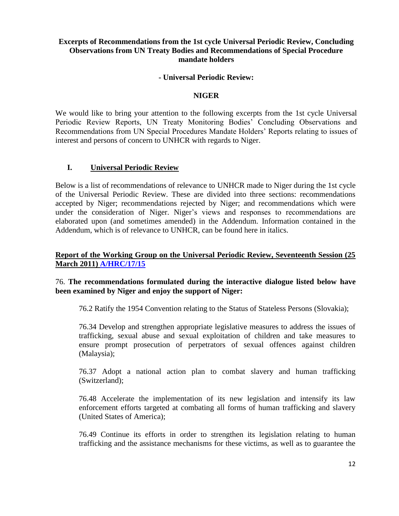## **Excerpts of Recommendations from the 1st cycle Universal Periodic Review, Concluding Observations from UN Treaty Bodies and Recommendations of Special Procedure mandate holders**

#### **- Universal Periodic Review:**

## **NIGER**

We would like to bring your attention to the following excerpts from the 1st cycle Universal Periodic Review Reports, UN Treaty Monitoring Bodies' Concluding Observations and Recommendations from UN Special Procedures Mandate Holders' Reports relating to issues of interest and persons of concern to UNHCR with regards to Niger.

## **I. Universal Periodic Review**

Below is a list of recommendations of relevance to UNHCR made to Niger during the 1st cycle of the Universal Periodic Review. These are divided into three sections: recommendations accepted by Niger; recommendations rejected by Niger; and recommendations which were under the consideration of Niger. Niger's views and responses to recommendations are elaborated upon (and sometimes amended) in the Addendum. Information contained in the Addendum, which is of relevance to UNHCR, can be found here in italics.

## **Report of the Working Group on the Universal Periodic Review, Seventeenth Session (25 March 2011) [A/HRC/17/15](http://daccess-dds-ny.un.org/doc/UNDOC/GEN/G11/123/06/PDF/G1112306.pdf?OpenElement)**

## 76. **The recommendations formulated during the interactive dialogue listed below have been examined by Niger and enjoy the support of Niger:**

76.2 Ratify the 1954 Convention relating to the Status of Stateless Persons (Slovakia);

76.34 Develop and strengthen appropriate legislative measures to address the issues of trafficking, sexual abuse and sexual exploitation of children and take measures to ensure prompt prosecution of perpetrators of sexual offences against children (Malaysia);

76.37 Adopt a national action plan to combat slavery and human trafficking (Switzerland);

76.48 Accelerate the implementation of its new legislation and intensify its law enforcement efforts targeted at combating all forms of human trafficking and slavery (United States of America);

76.49 Continue its efforts in order to strengthen its legislation relating to human trafficking and the assistance mechanisms for these victims, as well as to guarantee the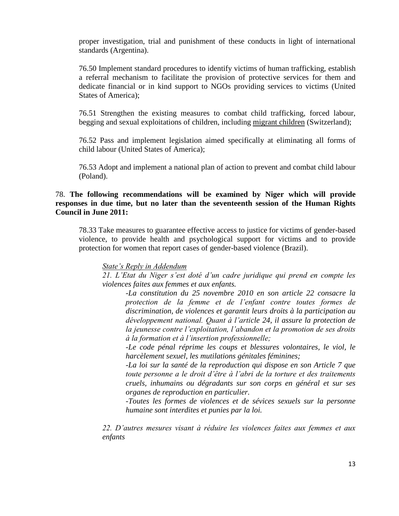proper investigation, trial and punishment of these conducts in light of international standards (Argentina).

76.50 Implement standard procedures to identify victims of human trafficking, establish a referral mechanism to facilitate the provision of protective services for them and dedicate financial or in kind support to NGOs providing services to victims (United States of America);

76.51 Strengthen the existing measures to combat child trafficking, forced labour, begging and sexual exploitations of children, including migrant children (Switzerland);

76.52 Pass and implement legislation aimed specifically at eliminating all forms of child labour (United States of America);

76.53 Adopt and implement a national plan of action to prevent and combat child labour (Poland).

## 78. **The following recommendations will be examined by Niger which will provide responses in due time, but no later than the seventeenth session of the Human Rights Council in June 2011:**

78.33 Take measures to guarantee effective access to justice for victims of gender-based violence, to provide health and psychological support for victims and to provide protection for women that report cases of gender-based violence (Brazil).

*State's Reply in Addendum*

*21. L'Etat du Niger s'est doté d'un cadre juridique qui prend en compte les violences faites aux femmes et aux enfants.*

*-La constitution du 25 novembre 2010 en son article 22 consacre la protection de la femme et de l'enfant contre toutes formes de discrimination, de violences et garantit leurs droits à la participation au développement national. Quant à l'article 24, il assure la protection de la jeunesse contre l'exploitation, l'abandon et la promotion de ses droits à la formation et à l'insertion professionnelle;*

*-Le code pénal réprime les coups et blessures volontaires, le viol, le harcèlement sexuel, les mutilations génitales féminines;*

*-La loi sur la santé de la reproduction qui dispose en son Article 7 que toute personne a le droit d'être à l'abri de la torture et des traitements cruels, inhumains ou dégradants sur son corps en général et sur ses organes de reproduction en particulier.*

*-Toutes les formes de violences et de sévices sexuels sur la personne humaine sont interdites et punies par la loi.*

*22. D'autres mesures visant à réduire les violences faites aux femmes et aux enfants*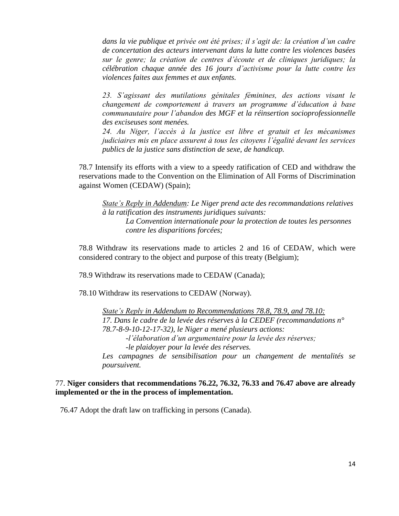*dans la vie publique et privée ont été prises; il s'agit de: la création d'un cadre de concertation des acteurs intervenant dans la lutte contre les violences basées sur le genre; la création de centres d'écoute et de cliniques juridiques; la célébration chaque année des 16 jours d'activisme pour la lutte contre les violences faites aux femmes et aux enfants.*

*23. S'agissant des mutilations génitales féminines, des actions visant le changement de comportement à travers un programme d'éducation à base communautaire pour l'abandon des MGF et la réinsertion socioprofessionnelle des exciseuses sont menées.*

*24. Au Niger, l'accès à la justice est libre et gratuit et les mécanismes judiciaires mis en place assurent à tous les citoyens l'égalité devant les services publics de la justice sans distinction de sexe, de handicap.*

78.7 Intensify its efforts with a view to a speedy ratification of CED and withdraw the reservations made to the Convention on the Elimination of All Forms of Discrimination against Women (CEDAW) (Spain);

*State's Reply in Addendum: Le Niger prend acte des recommandations relatives à la ratification des instruments juridiques suivants: La Convention internationale pour la protection de toutes les personnes contre les disparitions forcées;*

78.8 Withdraw its reservations made to articles 2 and 16 of CEDAW, which were considered contrary to the object and purpose of this treaty (Belgium);

78.9 Withdraw its reservations made to CEDAW (Canada);

78.10 Withdraw its reservations to CEDAW (Norway).

*State's Reply in Addendum to Recommendations 78.8, 78.9, and 78.10: 17. Dans le cadre de la levée des réserves à la CEDEF (recommandations n° 78.7-8-9-10-12-17-32), le Niger a mené plusieurs actions: -l'élaboration d'un argumentaire pour la levée des réserves; -le plaidoyer pour la levée des réserves. Les campagnes de sensibilisation pour un changement de mentalités se poursuivent.*

#### 77. **Niger considers that recommendations 76.22, 76.32, 76.33 and 76.47 above are already implemented or the in the process of implementation.**

76.47 Adopt the draft law on trafficking in persons (Canada).